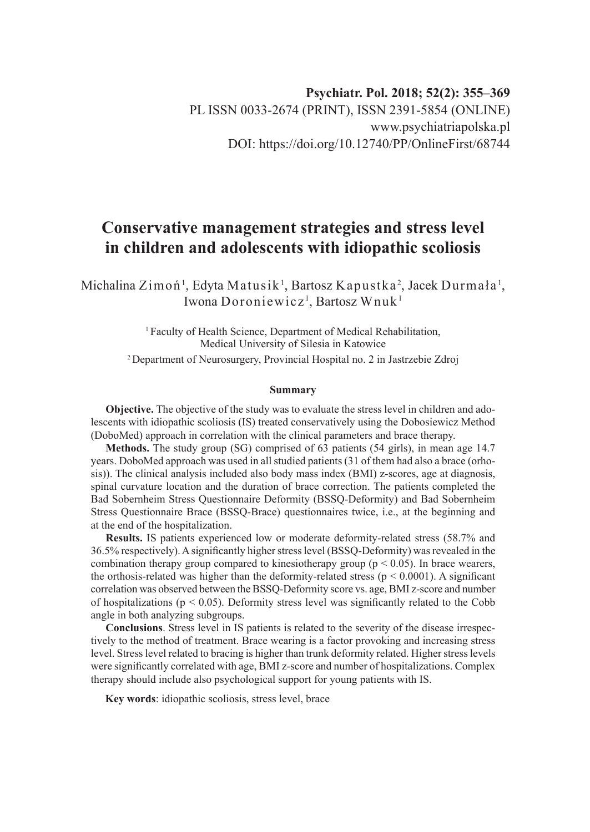# **Psychiatr. Pol. 2018; 52(2): 355–369** PL ISSN 0033-2674 (PRINT), ISSN 2391-5854 (ONLINE) www.psychiatriapolska.pl DOI: https://doi.org/10.12740/PP/OnlineFirst/68744

# **Conservative management strategies and stress level in children and adolescents with idiopathic scoliosis**

Michalina Zimoń<sup>1</sup>, Edyta Matusik<sup>1</sup>, Bartosz Kapustka<sup>2</sup>, Jacek Durmała<sup>1</sup>, Iwona Doroniewicz<sup>1</sup>, Bartosz Wnuk<sup>1</sup>

> <sup>1</sup> Faculty of Health Science, Department of Medical Rehabilitation, Medical University of Silesia in Katowice 2 Department of Neurosurgery, Provincial Hospital no. 2 in Jastrzebie Zdroj

#### **Summary**

**Objective.** The objective of the study was to evaluate the stress level in children and adolescents with idiopathic scoliosis (IS) treated conservatively using the Dobosiewicz Method (DoboMed) approach in correlation with the clinical parameters and brace therapy.

**Methods.** The study group (SG) comprised of 63 patients (54 girls), in mean age 14.7 years. DoboMed approach was used in all studied patients (31 of them had also a brace (orhosis)). The clinical analysis included also body mass index (BMI) z-scores, age at diagnosis, spinal curvature location and the duration of brace correction. The patients completed the Bad Sobernheim Stress Questionnaire Deformity (BSSQ-Deformity) and Bad Sobernheim Stress Questionnaire Brace (BSSQ-Brace) questionnaires twice, i.e., at the beginning and at the end of the hospitalization.

**Results.** IS patients experienced low or moderate deformity-related stress (58.7% and 36.5% respectively). A significantly higher stress level (BSSQ-Deformity) was revealed in the combination therapy group compared to kinesiotherapy group ( $p < 0.05$ ). In brace wearers, the orthosis-related was higher than the deformity-related stress ( $p \le 0.0001$ ). A significant correlation was observed between the BSSQ-Deformity score vs. age, BMI z-score and number of hospitalizations ( $p < 0.05$ ). Deformity stress level was significantly related to the Cobb angle in both analyzing subgroups.

**Conclusions**. Stress level in IS patients is related to the severity of the disease irrespectively to the method of treatment. Brace wearing is a factor provoking and increasing stress level. Stress level related to bracing is higher than trunk deformity related. Higher stress levels were significantly correlated with age, BMI z-score and number of hospitalizations. Complex therapy should include also psychological support for young patients with IS.

**Key words**: idiopathic scoliosis, stress level, brace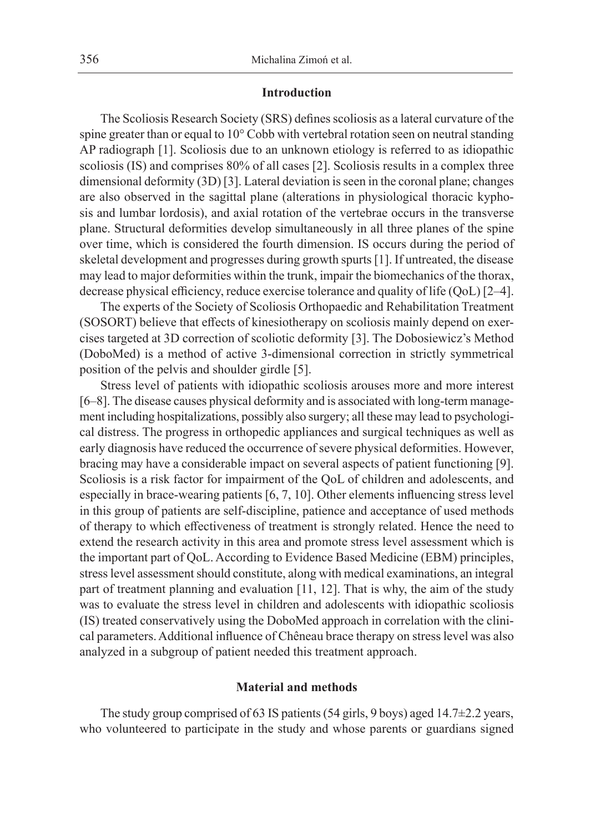# **Introduction**

The Scoliosis Research Society (SRS) defines scoliosis as a lateral curvature of the spine greater than or equal to 10° Cobb with vertebral rotation seen on neutral standing AP radiograph [1]. Scoliosis due to an unknown etiology is referred to as idiopathic scoliosis (IS) and comprises 80% of all cases [2]. Scoliosis results in a complex three dimensional deformity (3D) [3]. Lateral deviation is seen in the coronal plane; changes are also observed in the sagittal plane (alterations in physiological thoracic kyphosis and lumbar lordosis), and axial rotation of the vertebrae occurs in the transverse plane. Structural deformities develop simultaneously in all three planes of the spine over time, which is considered the fourth dimension. IS occurs during the period of skeletal development and progresses during growth spurts [1]. If untreated, the disease may lead to major deformities within the trunk, impair the biomechanics of the thorax, decrease physical efficiency, reduce exercise tolerance and quality of life (QoL) [2–4].

The experts of the Society of Scoliosis Orthopaedic and Rehabilitation Treatment (SOSORT) believe that effects of kinesiotherapy on scoliosis mainly depend on exercises targeted at 3D correction of scoliotic deformity [3]. The Dobosiewicz's Method (DoboMed) is a method of active 3-dimensional correction in strictly symmetrical position of the pelvis and shoulder girdle [5].

Stress level of patients with idiopathic scoliosis arouses more and more interest [6–8]. The disease causes physical deformity and is associated with long-term management including hospitalizations, possibly also surgery; all these may lead to psychological distress. The progress in orthopedic appliances and surgical techniques as well as early diagnosis have reduced the occurrence of severe physical deformities. However, bracing may have a considerable impact on several aspects of patient functioning [9]. Scoliosis is a risk factor for impairment of the QoL of children and adolescents, and especially in brace-wearing patients [6, 7, 10]. Other elements influencing stress level in this group of patients are self-discipline, patience and acceptance of used methods of therapy to which effectiveness of treatment is strongly related. Hence the need to extend the research activity in this area and promote stress level assessment which is the important part of QoL. According to Evidence Based Medicine (EBM) principles, stress level assessment should constitute, along with medical examinations, an integral part of treatment planning and evaluation [11, 12]. That is why, the aim of the study was to evaluate the stress level in children and adolescents with idiopathic scoliosis (IS) treated conservatively using the DoboMed approach in correlation with the clinical parameters. Additional influence of Chêneau brace therapy on stress level was also analyzed in a subgroup of patient needed this treatment approach.

# **Material and methods**

The study group comprised of 63 IS patients (54 girls, 9 boys) aged 14.7±2.2 years, who volunteered to participate in the study and whose parents or guardians signed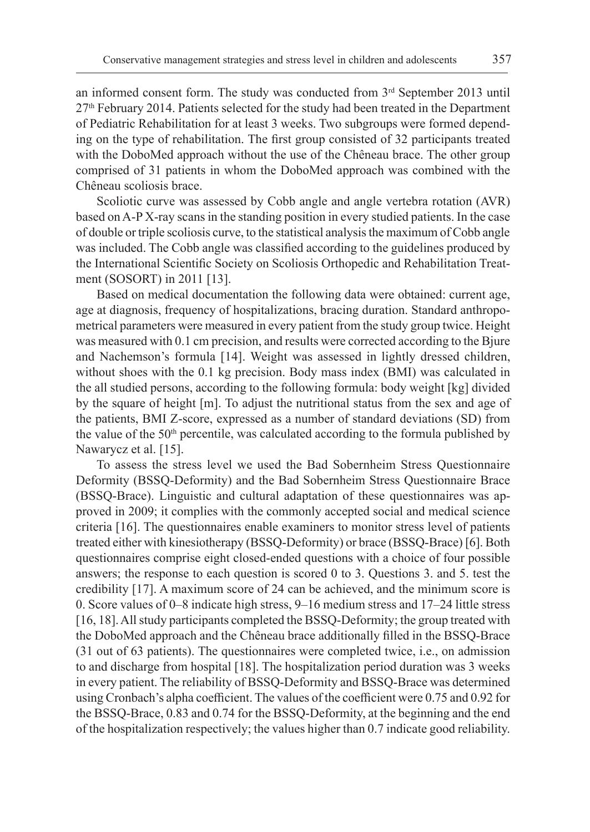an informed consent form. The study was conducted from 3<sup>rd</sup> September 2013 until 27th February 2014. Patients selected for the study had been treated in the Department of Pediatric Rehabilitation for at least 3 weeks. Two subgroups were formed depending on the type of rehabilitation. The first group consisted of 32 participants treated with the DoboMed approach without the use of the Chêneau brace. The other group comprised of 31 patients in whom the DoboMed approach was combined with the Chêneau scoliosis brace.

Scoliotic curve was assessed by Cobb angle and angle vertebra rotation (AVR) based on A-P X-ray scans in the standing position in every studied patients. In the case of double or triple scoliosis curve, to the statistical analysis the maximum of Cobb angle was included. The Cobb angle was classified according to the guidelines produced by the International Scientific Society on Scoliosis Orthopedic and Rehabilitation Treatment (SOSORT) in 2011 [13].

Based on medical documentation the following data were obtained: current age, age at diagnosis, frequency of hospitalizations, bracing duration. Standard anthropometrical parameters were measured in every patient from the study group twice. Height was measured with 0.1 cm precision, and results were corrected according to the Bjure and Nachemson's formula [14]. Weight was assessed in lightly dressed children, without shoes with the 0.1 kg precision. Body mass index (BMI) was calculated in the all studied persons, according to the following formula: body weight [kg] divided by the square of height [m]. To adjust the nutritional status from the sex and age of the patients, BMI Z-score, expressed as a number of standard deviations (SD) from the value of the 50<sup>th</sup> percentile, was calculated according to the formula published by Nawarycz et al. [15].

To assess the stress level we used the Bad Sobernheim Stress Questionnaire Deformity (BSSQ-Deformity) and the Bad Sobernheim Stress Questionnaire Brace (BSSQ-Brace). Linguistic and cultural adaptation of these questionnaires was approved in 2009; it complies with the commonly accepted social and medical science criteria [16]. The questionnaires enable examiners to monitor stress level of patients treated either with kinesiotherapy (BSSQ-Deformity) or brace (BSSQ-Brace) [6]. Both questionnaires comprise eight closed-ended questions with a choice of four possible answers; the response to each question is scored 0 to 3. Questions 3. and 5. test the credibility [17]. A maximum score of 24 can be achieved, and the minimum score is 0. Score values of 0–8 indicate high stress, 9–16 medium stress and 17–24 little stress [16, 18]. All study participants completed the BSSQ-Deformity; the group treated with the DoboMed approach and the Chêneau brace additionally filled in the BSSQ-Brace (31 out of 63 patients). The questionnaires were completed twice, i.e., on admission to and discharge from hospital [18]. The hospitalization period duration was 3 weeks in every patient. The reliability of BSSQ-Deformity and BSSQ-Brace was determined using Cronbach's alpha coefficient. The values of the coefficient were 0.75 and 0.92 for the BSSQ-Brace, 0.83 and 0.74 for the BSSQ-Deformity, at the beginning and the end of the hospitalization respectively; the values higher than 0.7 indicate good reliability.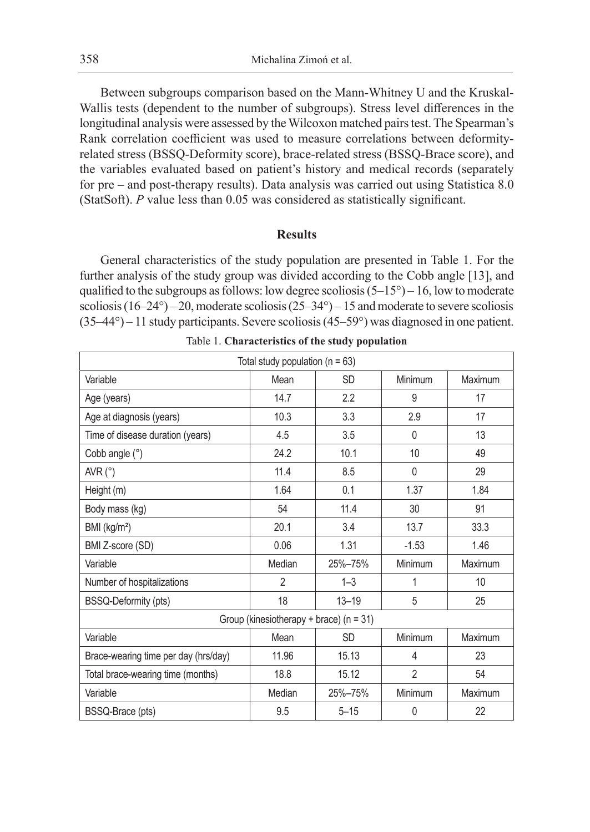Between subgroups comparison based on the Mann-Whitney U and the Kruskal-Wallis tests (dependent to the number of subgroups). Stress level differences in the longitudinal analysis were assessed by the Wilcoxon matched pairs test. The Spearman's Rank correlation coefficient was used to measure correlations between deformityrelated stress (BSSQ-Deformity score), brace-related stress (BSSQ-Brace score), and the variables evaluated based on patient's history and medical records (separately for pre – and post-therapy results). Data analysis was carried out using Statistica 8.0 (StatSoft). *P* value less than 0.05 was considered as statistically significant.

#### **Results**

General characteristics of the study population are presented in Table 1. For the further analysis of the study group was divided according to the Cobb angle [13], and qualified to the subgroups as follows: low degree scoliosis  $(5-15^{\circ}) - 16$ , low to moderate scoliosis  $(16-24^{\circ}) - 20$ , moderate scoliosis  $(25-34^{\circ}) - 15$  and moderate to severe scoliosis  $(35-44^{\circ})$  – 11 study participants. Severe scoliosis  $(45-59^{\circ})$  was diagnosed in one patient.

| Total study population ( $n = 63$ )         |                |           |                |         |  |  |  |
|---------------------------------------------|----------------|-----------|----------------|---------|--|--|--|
| Variable                                    | Mean           | <b>SD</b> | Minimum        | Maximum |  |  |  |
| Age (years)                                 | 14.7           | 2.2       | 9              | 17      |  |  |  |
| Age at diagnosis (years)                    | 10.3           | 3.3       | 2.9            | 17      |  |  |  |
| Time of disease duration (years)            | 4.5            | 3.5       | $\Omega$       | 13      |  |  |  |
| Cobb angle (°)                              | 24.2           | 10.1      | 10             | 49      |  |  |  |
| AVR $(^{\circ})$                            | 11.4           | 8.5       | 0              | 29      |  |  |  |
| Height (m)                                  | 1.64           | 0.1       | 1.37           | 1.84    |  |  |  |
| Body mass (kg)                              | 54             | 11.4      | 30             | 91      |  |  |  |
| BMI (kg/m <sup>2</sup> )                    | 20.1           | 3.4       | 13.7           | 33.3    |  |  |  |
| BMI Z-score (SD)                            | 0.06           | 1.31      | $-1.53$        | 1.46    |  |  |  |
| Variable                                    | Median         | 25%-75%   | Minimum        | Maximum |  |  |  |
| Number of hospitalizations                  | $\overline{2}$ | $1 - 3$   | 1              | 10      |  |  |  |
| BSSQ-Deformity (pts)                        | 18             | $13 - 19$ | 5              | 25      |  |  |  |
| Group (kinesiotherapy + brace) ( $n = 31$ ) |                |           |                |         |  |  |  |
| Variable                                    | Mean           | <b>SD</b> | Minimum        | Maximum |  |  |  |
| Brace-wearing time per day (hrs/day)        | 11.96          | 15.13     | 4              | 23      |  |  |  |
| Total brace-wearing time (months)           | 18.8           | 15.12     | $\overline{2}$ | 54      |  |  |  |
| Variable                                    | Median         | 25%-75%   | Minimum        | Maximum |  |  |  |
| BSSQ-Brace (pts)                            | 9.5            | $5 - 15$  | 0              | 22      |  |  |  |

Table 1. **Characteristics of the study population**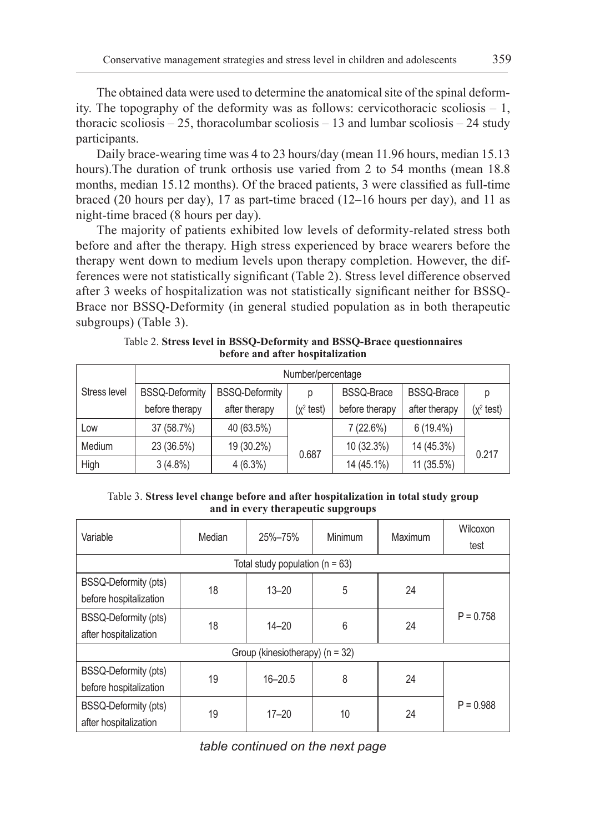The obtained data were used to determine the anatomical site of the spinal deformity. The topography of the deformity was as follows: cervicothoracic scoliosis – 1, thoracic scoliosis  $-25$ , thoracolumbar scoliosis  $-13$  and lumbar scoliosis  $-24$  study participants.

Daily brace-wearing time was 4 to 23 hours/day (mean 11.96 hours, median 15.13 hours).The duration of trunk orthosis use varied from 2 to 54 months (mean 18.8 months, median 15.12 months). Of the braced patients, 3 were classified as full-time braced (20 hours per day), 17 as part-time braced (12–16 hours per day), and 11 as night-time braced (8 hours per day).

The majority of patients exhibited low levels of deformity-related stress both before and after the therapy. High stress experienced by brace wearers before the therapy went down to medium levels upon therapy completion. However, the differences were not statistically significant (Table 2). Stress level difference observed after 3 weeks of hospitalization was not statistically significant neither for BSSQ-Brace nor BSSQ-Deformity (in general studied population as in both therapeutic subgroups) (Table 3).

|              | Number/percentage     |                       |                      |                   |                   |                      |  |
|--------------|-----------------------|-----------------------|----------------------|-------------------|-------------------|----------------------|--|
| Stress level | <b>BSSQ-Deformity</b> | <b>BSSQ-Deformity</b> | D                    | <b>BSSQ-Brace</b> | <b>BSSQ-Brace</b> | р                    |  |
|              | before therapy        | after therapy         | $(x^2 \text{ test})$ | before therapy    | after therapy     | $(x^2 \text{ test})$ |  |
| Low          | 37 (58.7%)            | 40 (63.5%)            |                      | 7(22.6%)          | $6(19.4\%)$       |                      |  |
| Medium       | 23 (36.5%)            | 19 (30.2%)            | 0.687                | 10 (32.3%)        | 14 (45.3%)        | 0.217                |  |
| High         | $3(4.8\%)$            | $4(6.3\%)$            |                      | 14 (45.1%)        | 11 (35.5%)        |                      |  |

Table 2. **Stress level in BSSQ-Deformity and BSSQ-Brace questionnaires before and after hospitalization**

# Table 3. **Stress level change before and after hospitalization in total study group and in every therapeutic supgroups**

| Variable                                              | Median                              | 25%-75%     | Minimum | Maximum | Wilcoxon<br>test |  |  |
|-------------------------------------------------------|-------------------------------------|-------------|---------|---------|------------------|--|--|
|                                                       | Total study population ( $n = 63$ ) |             |         |         |                  |  |  |
| <b>BSSQ-Deformity (pts)</b><br>before hospitalization | 18                                  | $13 - 20$   | 5       | 24      |                  |  |  |
| BSSQ-Deformity (pts)<br>after hospitalization         | 18                                  | $14 - 20$   | 6       | 24      | $P = 0.758$      |  |  |
| Group (kinesiotherapy) (n = 32)                       |                                     |             |         |         |                  |  |  |
| BSSQ-Deformity (pts)<br>before hospitalization        | 19                                  | $16 - 20.5$ | 8       | 24      |                  |  |  |
| BSSQ-Deformity (pts)<br>after hospitalization         | 19                                  | $17 - 20$   | 10      | 24      | $P = 0.988$      |  |  |

*table continued on the next page*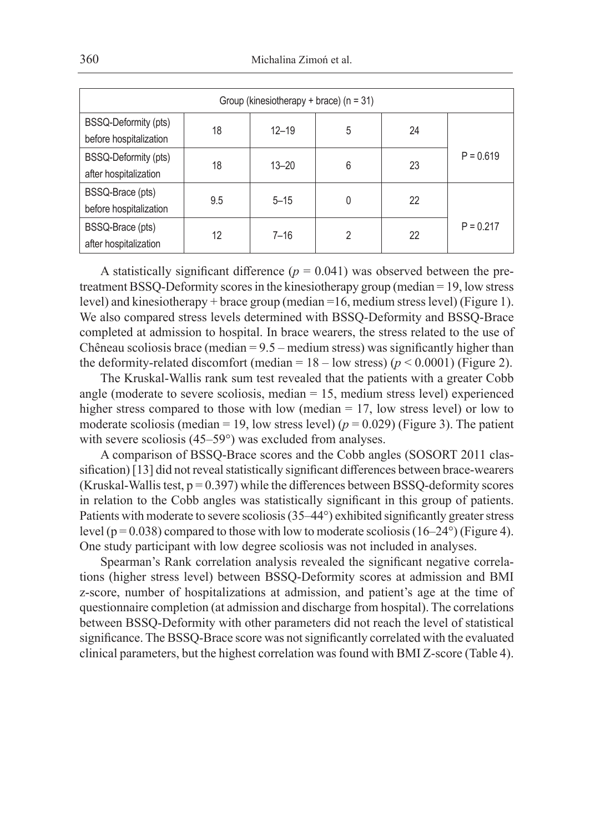| Group (kinesiotherapy + brace) ( $n = 31$ )    |     |           |   |    |             |  |
|------------------------------------------------|-----|-----------|---|----|-------------|--|
| BSSQ-Deformity (pts)<br>before hospitalization | 18  | $12 - 19$ | 5 | 24 |             |  |
| BSSQ-Deformity (pts)<br>after hospitalization  | 18  | $13 - 20$ | 6 | 23 | $P = 0.619$ |  |
| BSSQ-Brace (pts)<br>before hospitalization     | 9.5 | $5 - 15$  | 0 | 22 |             |  |
| BSSQ-Brace (pts)<br>after hospitalization      | 12  | $7 - 16$  | 2 | 22 | $P = 0.217$ |  |

A statistically significant difference  $(p = 0.041)$  was observed between the pretreatment BSSQ-Deformity scores in the kinesiotherapy group (median = 19, low stress level) and kinesiotherapy + brace group (median =16, medium stress level) (Figure 1). We also compared stress levels determined with BSSQ-Deformity and BSSQ-Brace completed at admission to hospital. In brace wearers, the stress related to the use of Chêneau scoliosis brace (median  $= 9.5$  – medium stress) was significantly higher than the deformity-related discomfort (median =  $18 -$ low stress) ( $p < 0.0001$ ) (Figure 2).

The Kruskal-Wallis rank sum test revealed that the patients with a greater Cobb angle (moderate to severe scoliosis, median = 15, medium stress level) experienced higher stress compared to those with low (median = 17, low stress level) or low to moderate scoliosis (median = 19, low stress level) ( $p = 0.029$ ) (Figure 3). The patient with severe scoliosis (45–59°) was excluded from analyses.

A comparison of BSSQ-Brace scores and the Cobb angles (SOSORT 2011 classification) [13] did not reveal statistically significant differences between brace-wearers (Kruskal-Wallis test,  $p = 0.397$ ) while the differences between BSSQ-deformity scores in relation to the Cobb angles was statistically significant in this group of patients. Patients with moderate to severe scoliosis (35–44°) exhibited significantly greater stress level ( $p = 0.038$ ) compared to those with low to moderate scoliosis (16–24°) (Figure 4). One study participant with low degree scoliosis was not included in analyses.

Spearman's Rank correlation analysis revealed the significant negative correlations (higher stress level) between BSSQ-Deformity scores at admission and BMI z-score, number of hospitalizations at admission, and patient's age at the time of questionnaire completion (at admission and discharge from hospital). The correlations between BSSQ-Deformity with other parameters did not reach the level of statistical significance. The BSSQ-Brace score was not significantly correlated with the evaluated clinical parameters, but the highest correlation was found with BMI Z-score (Table 4).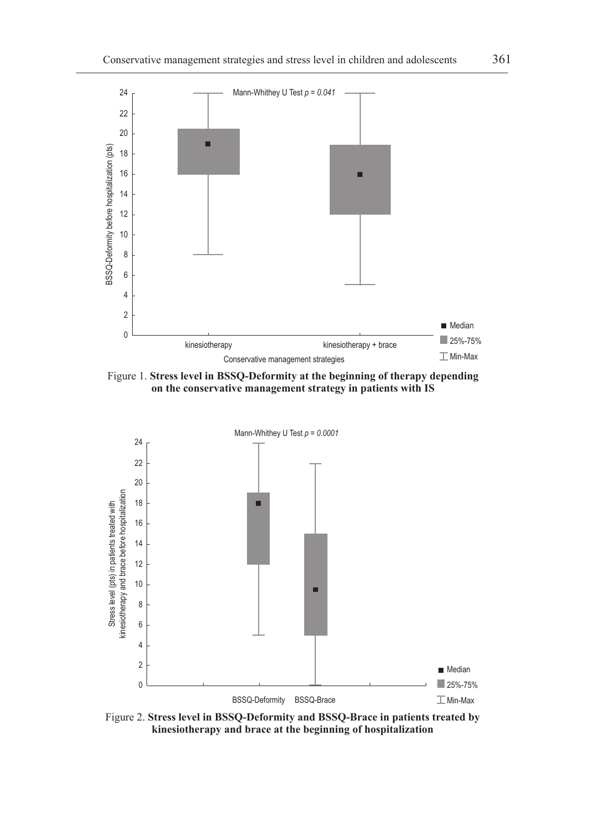

Figure 1. **Stress level in BSSQ-Deformity at the beginning of therapy depending on the conservative management strategy in patients with IS**



Figure 2. **Stress level in BSSQ-Deformity and BSSQ-Brace in patients treated by kinesiotherapy and brace at the beginning of hospitalization**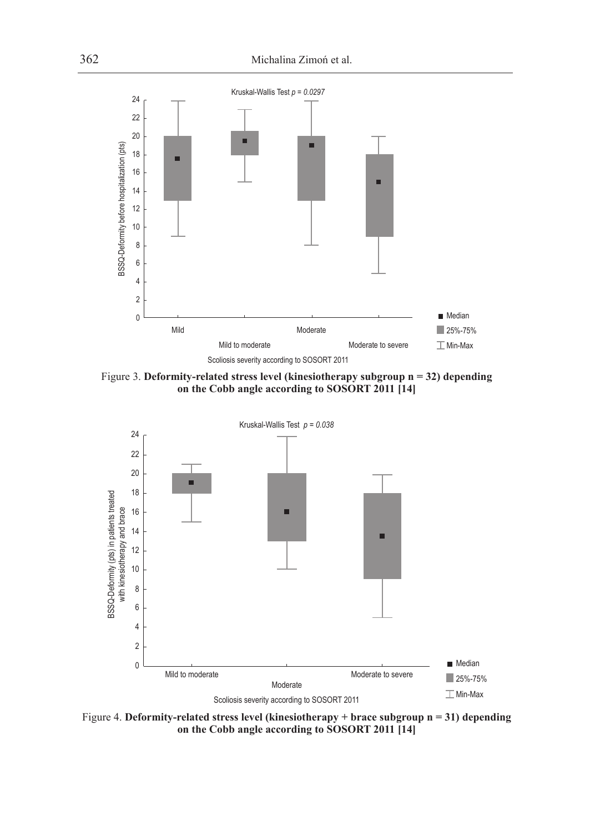

Figure 3. **Deformity-related stress level (kinesiotherapy subgroup n = 32) depending on the Cobb angle according to SOSORT 2011 [14]**



Figure 4. **Deformity-related stress level (kinesiotherapy + brace subgroup n = 31) depending on the Cobb angle according to SOSORT 2011 [14]**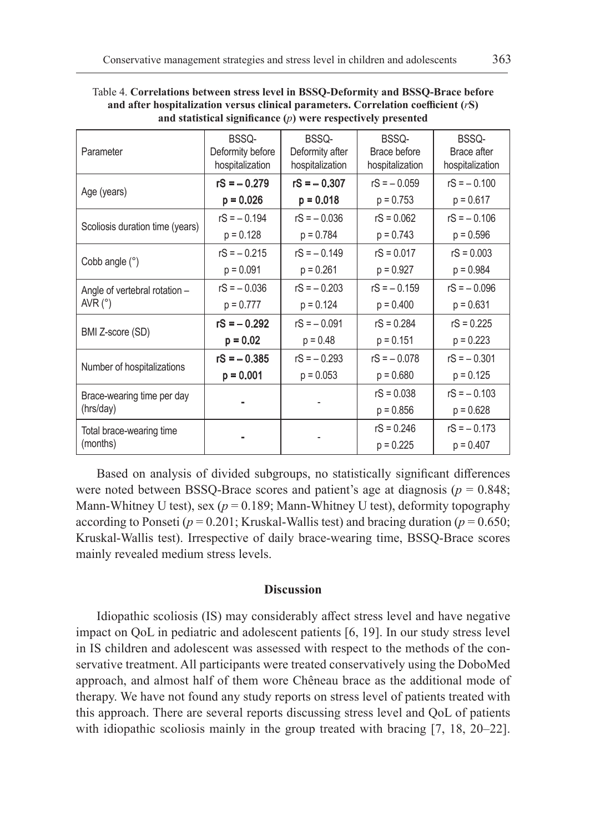| Parameter                                         | BSSQ-<br>Deformity before<br>hospitalization | BSSQ-<br>Deformity after<br>hospitalization | BSSQ-<br>Brace before<br>hospitalization | BSSQ-<br>Brace after<br>hospitalization |
|---------------------------------------------------|----------------------------------------------|---------------------------------------------|------------------------------------------|-----------------------------------------|
|                                                   | $rS = -0.279$                                | $rS = -0.307$                               | $rS = -0.059$                            | $rS = -0.100$                           |
| Age (years)                                       | $p = 0.026$                                  | $p = 0.018$                                 | $p = 0.753$                              | $p = 0.617$                             |
| Scoliosis duration time (years)                   | $rS = -0.194$                                | $rS = -0.036$                               | $rS = 0.062$                             | $rS = -0.106$                           |
|                                                   | $p = 0.128$                                  | $p = 0.784$                                 | $p = 0.743$                              | $p = 0.596$                             |
| Cobb angle $(°)$                                  | $rS = -0.215$                                | $rS = -0.149$                               | $rS = 0.017$                             | $rS = 0.003$                            |
|                                                   | $p = 0.091$                                  | $p = 0.261$                                 | $p = 0.927$                              | $p = 0.984$                             |
| Angle of vertebral rotation -<br>AVR $(^{\circ})$ | $rS = -0.036$                                | $rS = -0.203$                               | $rS = -0.159$                            | $rS = -0.096$                           |
|                                                   | $p = 0.777$                                  | $p = 0.124$                                 | $p = 0.400$                              | $p = 0.631$                             |
| BMI Z-score (SD)                                  | $rS = -0.292$                                | $rS = -0.091$                               | $rS = 0.284$                             | $rS = 0.225$                            |
|                                                   | $p = 0.02$                                   | $p = 0.48$                                  | $p = 0.151$                              | $p = 0.223$                             |
| Number of hospitalizations                        | $rS = -0.385$                                | $rS = -0.293$                               | $rS = -0.078$                            | $rS = -0.301$                           |
|                                                   | $p = 0.001$                                  | $p = 0.053$                                 | $p = 0.680$                              | $p = 0.125$                             |
| Brace-wearing time per day                        |                                              |                                             | $rS = 0.038$                             | $rS = -0.103$                           |
| (hrs/day)                                         |                                              |                                             | $p = 0.856$                              | $p = 0.628$                             |
| Total brace-wearing time                          |                                              |                                             | $rS = 0.246$                             | $rS = -0.173$                           |
| (months)                                          |                                              |                                             | $p = 0.225$                              | $p = 0.407$                             |

Table 4. **Correlations between stress level in BSSQ-Deformity and BSSQ-Brace before and after hospitalization versus clinical parameters. Correlation coefficient (***r***S) and statistical significance (***p***) were respectively presented**

Based on analysis of divided subgroups, no statistically significant differences were noted between BSSQ-Brace scores and patient's age at diagnosis ( $p = 0.848$ ; Mann-Whitney U test), sex ( $p = 0.189$ ; Mann-Whitney U test), deformity topography according to Ponseti ( $p = 0.201$ ; Kruskal-Wallis test) and bracing duration ( $p = 0.650$ ; Kruskal-Wallis test). Irrespective of daily brace-wearing time, BSSQ-Brace scores mainly revealed medium stress levels.

# **Discussion**

Idiopathic scoliosis (IS) may considerably affect stress level and have negative impact on QoL in pediatric and adolescent patients [6, 19]. In our study stress level in IS children and adolescent was assessed with respect to the methods of the conservative treatment. All participants were treated conservatively using the DoboMed approach, and almost half of them wore Chêneau brace as the additional mode of therapy. We have not found any study reports on stress level of patients treated with this approach. There are several reports discussing stress level and QoL of patients with idiopathic scoliosis mainly in the group treated with bracing [7, 18, 20–22].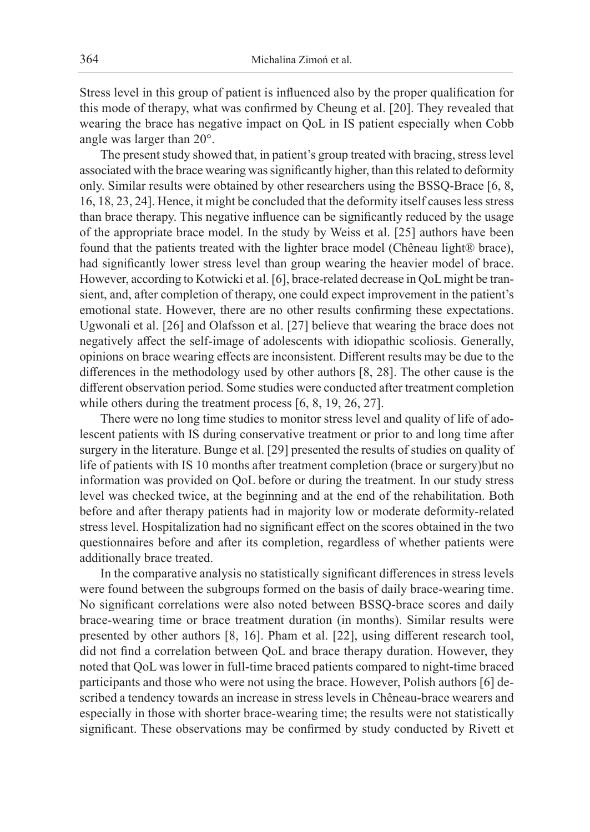Stress level in this group of patient is influenced also by the proper qualification for this mode of therapy, what was confirmed by Cheung et al. [20]. They revealed that wearing the brace has negative impact on QoL in IS patient especially when Cobb angle was larger than 20°.

The present study showed that, in patient's group treated with bracing, stress level associated with the brace wearing was significantly higher, than this related to deformity only. Similar results were obtained by other researchers using the BSSQ-Brace [6, 8, 16, 18, 23, 24]. Hence, it might be concluded that the deformity itself causes less stress than brace therapy. This negative influence can be significantly reduced by the usage of the appropriate brace model. In the study by Weiss et al. [25] authors have been found that the patients treated with the lighter brace model (Chêneau light® brace), had significantly lower stress level than group wearing the heavier model of brace. However, according to Kotwicki et al. [6], brace-related decrease in QoL might be transient, and, after completion of therapy, one could expect improvement in the patient's emotional state. However, there are no other results confirming these expectations. Ugwonali et al. [26] and Olafsson et al. [27] believe that wearing the brace does not negatively affect the self-image of adolescents with idiopathic scoliosis. Generally, opinions on brace wearing effects are inconsistent. Different results may be due to the differences in the methodology used by other authors [8, 28]. The other cause is the different observation period. Some studies were conducted after treatment completion while others during the treatment process [6, 8, 19, 26, 27].

There were no long time studies to monitor stress level and quality of life of adolescent patients with IS during conservative treatment or prior to and long time after surgery in the literature. Bunge et al. [29] presented the results of studies on quality of life of patients with IS 10 months after treatment completion (brace or surgery)but no information was provided on QoL before or during the treatment. In our study stress level was checked twice, at the beginning and at the end of the rehabilitation. Both before and after therapy patients had in majority low or moderate deformity-related stress level. Hospitalization had no significant effect on the scores obtained in the two questionnaires before and after its completion, regardless of whether patients were additionally brace treated.

In the comparative analysis no statistically significant differences in stress levels were found between the subgroups formed on the basis of daily brace-wearing time. No significant correlations were also noted between BSSQ-brace scores and daily brace-wearing time or brace treatment duration (in months). Similar results were presented by other authors [8, 16]. Pham et al. [22], using different research tool, did not find a correlation between QoL and brace therapy duration. However, they noted that QoL was lower in full-time braced patients compared to night-time braced participants and those who were not using the brace. However, Polish authors [6] described a tendency towards an increase in stress levels in Chêneau-brace wearers and especially in those with shorter brace-wearing time; the results were not statistically significant. These observations may be confirmed by study conducted by Rivett et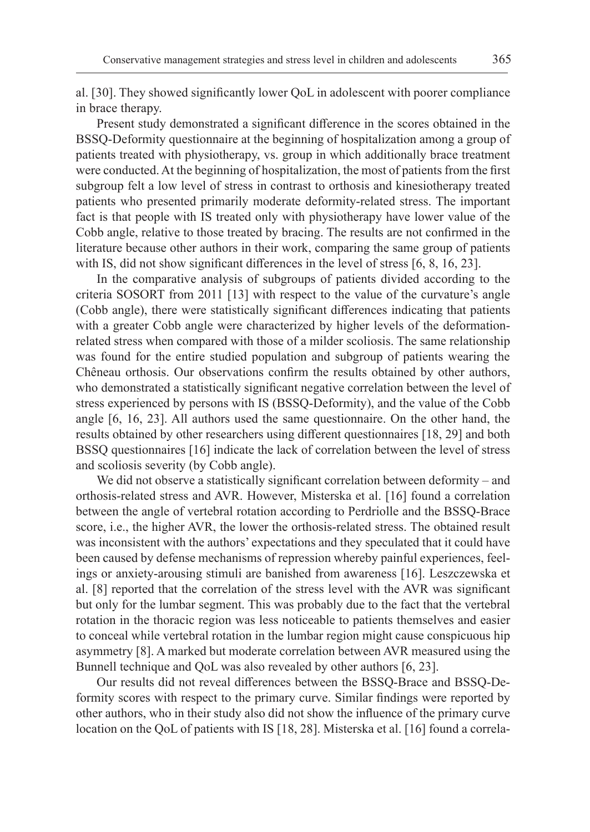al. [30]. They showed significantly lower QoL in adolescent with poorer compliance in brace therapy.

Present study demonstrated a significant difference in the scores obtained in the BSSQ-Deformity questionnaire at the beginning of hospitalization among a group of patients treated with physiotherapy, vs. group in which additionally brace treatment were conducted. At the beginning of hospitalization, the most of patients from the first subgroup felt a low level of stress in contrast to orthosis and kinesiotherapy treated patients who presented primarily moderate deformity-related stress. The important fact is that people with IS treated only with physiotherapy have lower value of the Cobb angle, relative to those treated by bracing. The results are not confirmed in the literature because other authors in their work, comparing the same group of patients with IS, did not show significant differences in the level of stress [6, 8, 16, 23].

In the comparative analysis of subgroups of patients divided according to the criteria SOSORT from 2011 [13] with respect to the value of the curvature's angle (Cobb angle), there were statistically significant differences indicating that patients with a greater Cobb angle were characterized by higher levels of the deformationrelated stress when compared with those of a milder scoliosis. The same relationship was found for the entire studied population and subgroup of patients wearing the Chêneau orthosis. Our observations confirm the results obtained by other authors, who demonstrated a statistically significant negative correlation between the level of stress experienced by persons with IS (BSSQ-Deformity), and the value of the Cobb angle [6, 16, 23]. All authors used the same questionnaire. On the other hand, the results obtained by other researchers using different questionnaires [18, 29] and both BSSQ questionnaires [16] indicate the lack of correlation between the level of stress and scoliosis severity (by Cobb angle).

We did not observe a statistically significant correlation between deformity – and orthosis-related stress and AVR. However, Misterska et al. [16] found a correlation between the angle of vertebral rotation according to Perdriolle and the BSSQ-Brace score, i.e., the higher AVR, the lower the orthosis-related stress. The obtained result was inconsistent with the authors' expectations and they speculated that it could have been caused by defense mechanisms of repression whereby painful experiences, feelings or anxiety-arousing stimuli are banished from awareness [16]. Leszczewska et al. [8] reported that the correlation of the stress level with the AVR was significant but only for the lumbar segment. This was probably due to the fact that the vertebral rotation in the thoracic region was less noticeable to patients themselves and easier to conceal while vertebral rotation in the lumbar region might cause conspicuous hip asymmetry [8]. A marked but moderate correlation between AVR measured using the Bunnell technique and QoL was also revealed by other authors [6, 23].

Our results did not reveal differences between the BSSQ-Brace and BSSQ-Deformity scores with respect to the primary curve. Similar findings were reported by other authors, who in their study also did not show the influence of the primary curve location on the QoL of patients with IS [18, 28]. Misterska et al. [16] found a correla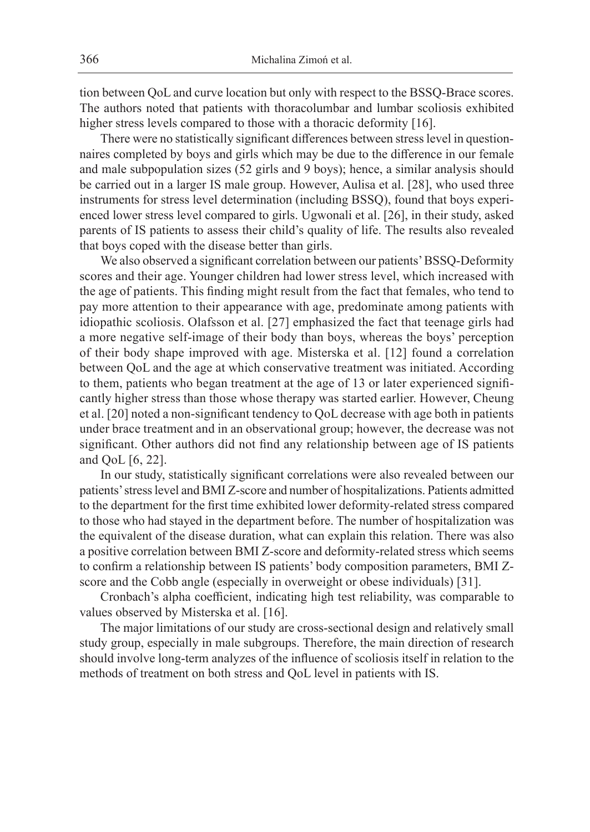tion between QoL and curve location but only with respect to the BSSQ-Brace scores. The authors noted that patients with thoracolumbar and lumbar scoliosis exhibited higher stress levels compared to those with a thoracic deformity [16].

There were no statistically significant differences between stress level in questionnaires completed by boys and girls which may be due to the difference in our female and male subpopulation sizes (52 girls and 9 boys); hence, a similar analysis should be carried out in a larger IS male group. However, Aulisa et al. [28], who used three instruments for stress level determination (including BSSQ), found that boys experienced lower stress level compared to girls. Ugwonali et al. [26], in their study, asked parents of IS patients to assess their child's quality of life. The results also revealed that boys coped with the disease better than girls.

We also observed a significant correlation between our patients' BSSQ-Deformity scores and their age. Younger children had lower stress level, which increased with the age of patients. This finding might result from the fact that females, who tend to pay more attention to their appearance with age, predominate among patients with idiopathic scoliosis. Olafsson et al. [27] emphasized the fact that teenage girls had a more negative self-image of their body than boys, whereas the boys' perception of their body shape improved with age. Misterska et al. [12] found a correlation between QoL and the age at which conservative treatment was initiated. According to them, patients who began treatment at the age of 13 or later experienced significantly higher stress than those whose therapy was started earlier. However, Cheung et al. [20] noted a non-significant tendency to QoL decrease with age both in patients under brace treatment and in an observational group; however, the decrease was not significant. Other authors did not find any relationship between age of IS patients and QoL [6, 22].

In our study, statistically significant correlations were also revealed between our patients' stress level and BMI Z-score and number of hospitalizations. Patients admitted to the department for the first time exhibited lower deformity-related stress compared to those who had stayed in the department before. The number of hospitalization was the equivalent of the disease duration, what can explain this relation. There was also a positive correlation between BMI Z-score and deformity-related stress which seems to confirm a relationship between IS patients' body composition parameters, BMI Zscore and the Cobb angle (especially in overweight or obese individuals) [31].

Cronbach's alpha coefficient, indicating high test reliability, was comparable to values observed by Misterska et al. [16].

The major limitations of our study are cross-sectional design and relatively small study group, especially in male subgroups. Therefore, the main direction of research should involve long-term analyzes of the influence of scoliosis itself in relation to the methods of treatment on both stress and QoL level in patients with IS.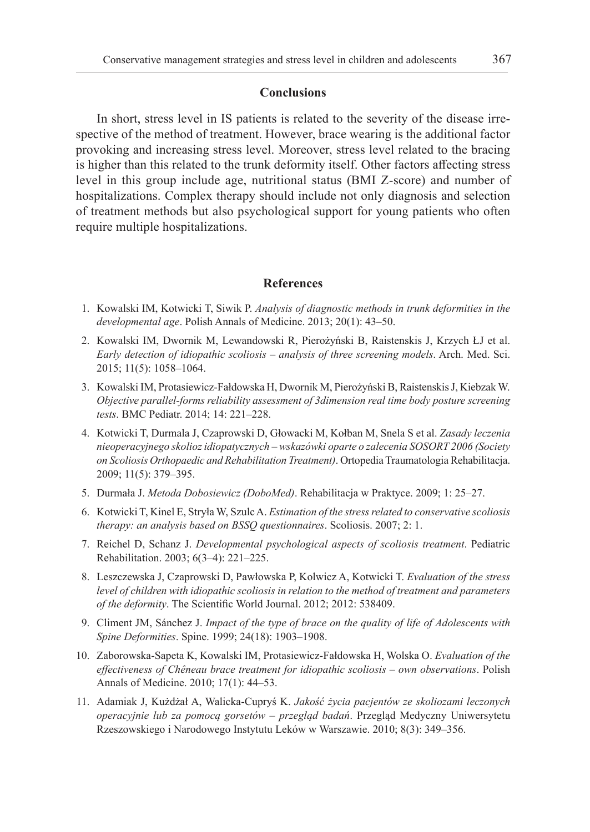#### **Conclusions**

In short, stress level in IS patients is related to the severity of the disease irrespective of the method of treatment. However, brace wearing is the additional factor provoking and increasing stress level. Moreover, stress level related to the bracing is higher than this related to the trunk deformity itself. Other factors affecting stress level in this group include age, nutritional status (BMI Z-score) and number of hospitalizations. Complex therapy should include not only diagnosis and selection of treatment methods but also psychological support for young patients who often require multiple hospitalizations.

# **References**

- 1. Kowalski IM, Kotwicki T, Siwik P. *Analysis of diagnostic methods in trunk deformities in the developmental age*. Polish Annals of Medicine. 2013; 20(1): 43–50.
- 2. Kowalski IM, Dwornik M, Lewandowski R, Pierożyński B, Raistenskis J, Krzych ŁJ et al. *Early detection of idiopathic scoliosis – analysis of three screening models*. Arch. Med. Sci. 2015; 11(5): 1058–1064.
- 3. Kowalski IM, Protasiewicz-Fałdowska H, Dwornik M, Pierożyński B, Raistenskis J, Kiebzak W. *Objective parallel-forms reliability assessment of 3dimension real time body posture screening tests*. BMC Pediatr. 2014; 14: 221–228.
- 4. Kotwicki T, Durmala J, Czaprowski D, Głowacki M, Kołban M, Snela S et al. *Zasady leczenia nieoperacyjnego skolioz idiopatycznych – wskazówki oparte o zalecenia SOSORT 2006 (Society on Scoliosis Orthopaedic and Rehabilitation Treatment)*. Ortopedia Traumatologia Rehabilitacja. 2009; 11(5): 379–395.
- 5. Durmała J. *Metoda Dobosiewicz (DoboMed)*. Rehabilitacja w Praktyce. 2009; 1: 25–27.
- 6. Kotwicki T, Kinel E, Stryła W, Szulc A. *Estimation of the stress related to conservative scoliosis therapy: an analysis based on BSSQ questionnaires*. Scoliosis. 2007; 2: 1.
- 7. Reichel D, Schanz J. *Developmental psychological aspects of scoliosis treatment*. Pediatric Rehabilitation. 2003; 6(3–4): 221–225.
- 8. Leszczewska J, Czaprowski D, Pawłowska P, Kolwicz A, Kotwicki T. *Evaluation of the stress level of children with idiopathic scoliosis in relation to the method of treatment and parameters of the deformity*. The Scientific World Journal. 2012; 2012: 538409.
- 9. Climent JM, Sánchez J. *Impact of the type of brace on the quality of life of Adolescents with Spine Deformities*. Spine. 1999; 24(18): 1903–1908.
- 10. Zaborowska-Sapeta K, Kowalski IM, Protasiewicz-Fałdowska H, Wolska O. *Evaluation of the effectiveness of Chêneau brace treatment for idiopathic scoliosis – own observations*. Polish Annals of Medicine. 2010; 17(1): 44–53.
- 11. Adamiak J, Kużdżał A, Walicka-Cupryś K. *Jakość życia pacjentów ze skoliozami leczonych operacyjnie lub za pomocą gorsetów – przegląd badań*. Przegląd Medyczny Uniwersytetu Rzeszowskiego i Narodowego Instytutu Leków w Warszawie. 2010; 8(3): 349–356.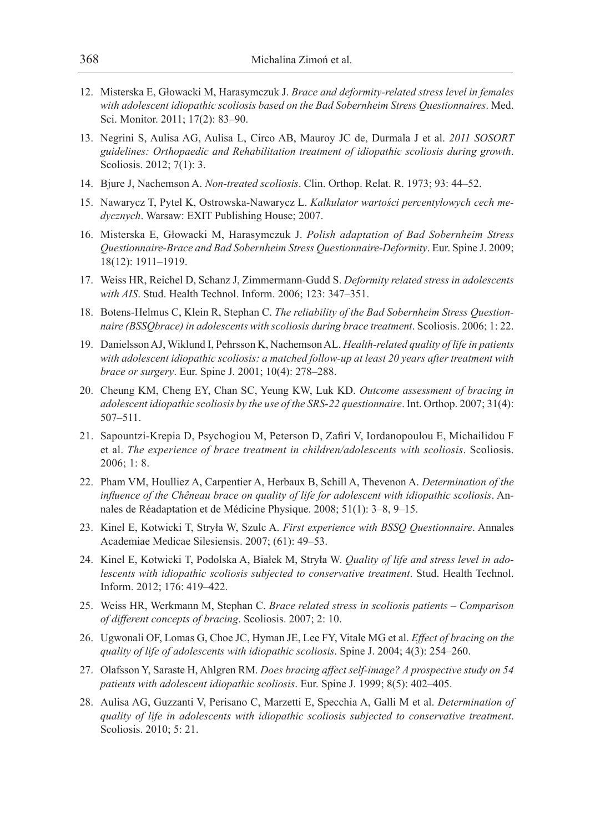- 12. Misterska E, Głowacki M, Harasymczuk J. *Brace and deformity-related stress level in females with adolescent idiopathic scoliosis based on the Bad Sobernheim Stress Questionnaires*. Med. Sci. Monitor. 2011; 17(2): 83–90.
- 13. Negrini S, Aulisa AG, Aulisa L, Circo AB, Mauroy JC de, Durmala J et al. *2011 SOSORT guidelines: Orthopaedic and Rehabilitation treatment of idiopathic scoliosis during growth*. Scoliosis. 2012; 7(1): 3.
- 14. Bjure J, Nachemson A. *Non-treated scoliosis*. Clin. Orthop. Relat. R. 1973; 93: 44–52.
- 15. Nawarycz T, Pytel K, Ostrowska-Nawarycz L. *Kalkulator wartości percentylowych cech medycznych*. Warsaw: EXIT Publishing House; 2007.
- 16. Misterska E, Głowacki M, Harasymczuk J. *Polish adaptation of Bad Sobernheim Stress Questionnaire-Brace and Bad Sobernheim Stress Questionnaire-Deformity*. Eur. Spine J. 2009; 18(12): 1911–1919.
- 17. Weiss HR, Reichel D, Schanz J, Zimmermann-Gudd S. *Deformity related stress in adolescents with AIS*. Stud. Health Technol. Inform. 2006; 123: 347–351.
- 18. Botens-Helmus C, Klein R, Stephan C. *The reliability of the Bad Sobernheim Stress Questionnaire (BSSQbrace) in adolescents with scoliosis during brace treatment*. Scoliosis. 2006; 1: 22.
- 19. Danielsson AJ, Wiklund I, Pehrsson K, Nachemson AL. *Health-related quality of life in patients with adolescent idiopathic scoliosis: a matched follow-up at least 20 years after treatment with brace or surgery*. Eur. Spine J. 2001; 10(4): 278–288.
- 20. Cheung KM, Cheng EY, Chan SC, Yeung KW, Luk KD. *Outcome assessment of bracing in adolescent idiopathic scoliosis by the use of the SRS-22 questionnaire*. Int. Orthop. 2007; 31(4): 507–511.
- 21. Sapountzi-Krepia D, Psychogiou M, Peterson D, Zafiri V, Iordanopoulou E, Michailidou F et al. *The experience of brace treatment in children/adolescents with scoliosis*. Scoliosis. 2006; 1: 8.
- 22. Pham VM, Houlliez A, Carpentier A, Herbaux B, Schill A, Thevenon A. *Determination of the influence of the Chêneau brace on quality of life for adolescent with idiopathic scoliosis*. Annales de Réadaptation et de Médicine Physique. 2008; 51(1): 3–8, 9–15.
- 23. Kinel E, Kotwicki T, Stryła W, Szulc A. *First experience with BSSQ Questionnaire*. Annales Academiae Medicae Silesiensis. 2007; (61): 49–53.
- 24. Kinel E, Kotwicki T, Podolska A, Białek M, Stryła W. *Quality of life and stress level in adolescents with idiopathic scoliosis subjected to conservative treatment*. Stud. Health Technol. Inform. 2012; 176: 419–422.
- 25. Weiss HR, Werkmann M, Stephan C. *Brace related stress in scoliosis patients Comparison of different concepts of bracing*. Scoliosis. 2007; 2: 10.
- 26. Ugwonali OF, Lomas G, Choe JC, Hyman JE, Lee FY, Vitale MG et al. *Effect of bracing on the quality of life of adolescents with idiopathic scoliosis*. Spine J. 2004; 4(3): 254–260.
- 27. Olafsson Y, Saraste H, Ahlgren RM. *Does bracing affect self-image? A prospective study on 54 patients with adolescent idiopathic scoliosis*. Eur. Spine J. 1999; 8(5): 402–405.
- 28. Aulisa AG, Guzzanti V, Perisano C, Marzetti E, Specchia A, Galli M et al. *Determination of quality of life in adolescents with idiopathic scoliosis subjected to conservative treatment*. Scoliosis. 2010; 5: 21.